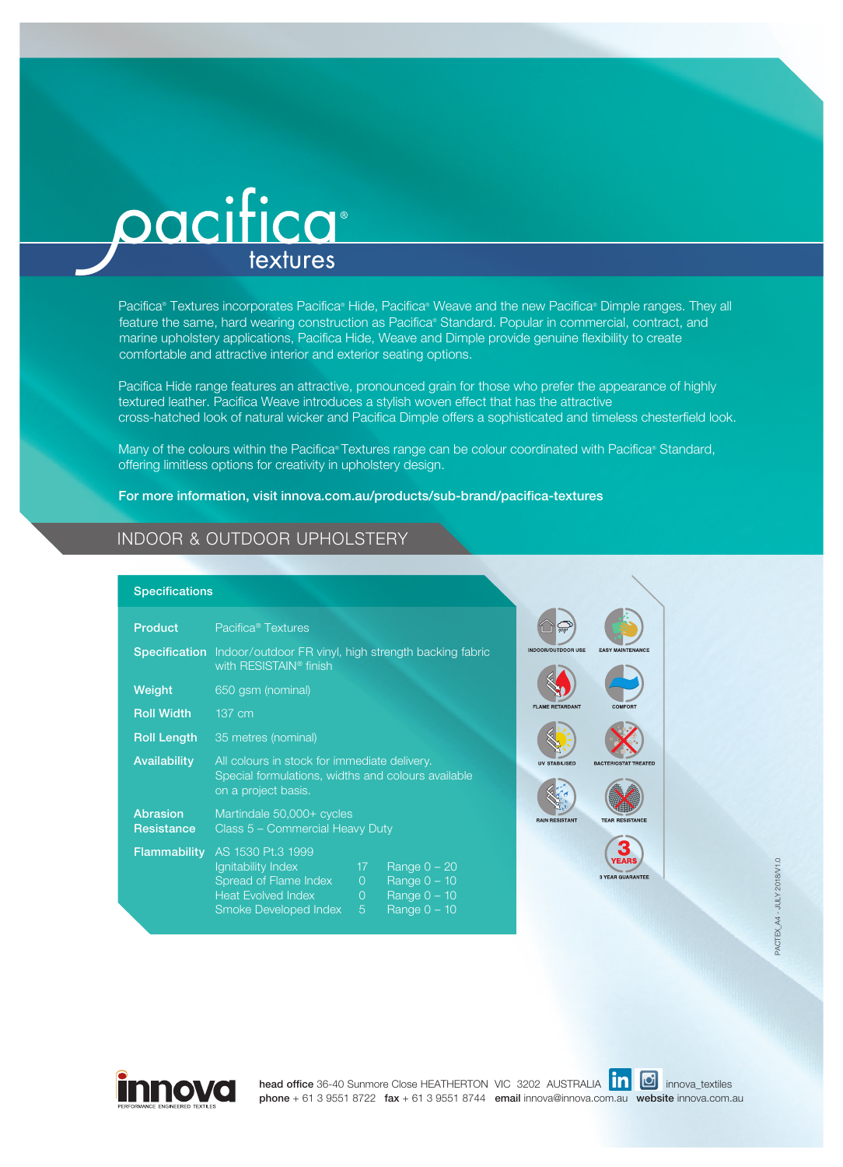

Pacifica® Textures incorporates Pacifica® Hide, Pacifica® Weave and the new Pacifica® Dimple ranges. They all feature the same, hard wearing construction as Pacifica® Standard. Popular in commercial, contract, and marine upholstery applications, Pacifica Hide, Weave and Dimple provide genuine flexibility to create comfortable and attractive interior and exterior seating options.

Pacifica Hide range features an attractive, pronounced grain for those who prefer the appearance of highly textured leather. Pacifica Weave introduces a stylish woven effect that has the attractive cross-hatched look of natural wicker and Pacifica Dimple offers a sophisticated and timeless chesterfield look.

Many of the colours within the Pacifica® Textures range can be colour coordinated with Pacifica® Standard, offering limitless options for creativity in upholstery design.

For more information, visit innova.com.au/products/sub-brand/pacifica-textures

## INDOOR & OUTDOOR UPHOLSTERY

## Specifications

| <b>Product</b>                       | Pacifica <sup>®</sup> Textures                                                                                            |                                                 |                                                                      |
|--------------------------------------|---------------------------------------------------------------------------------------------------------------------------|-------------------------------------------------|----------------------------------------------------------------------|
|                                      | <b>Specification</b> Indoor/outdoor FR vinyl, high strength backing fabric<br>with RESISTAIN <sup>®</sup> finish          |                                                 |                                                                      |
| Weight                               | 650 gsm (nominal)                                                                                                         |                                                 |                                                                      |
| <b>Roll Width</b>                    | 137 cm                                                                                                                    |                                                 |                                                                      |
| <b>Roll Length</b>                   | 35 metres (nominal)                                                                                                       |                                                 |                                                                      |
| <b>Availability</b>                  | All colours in stock for immediate delivery.<br>Special formulations, widths and colours available<br>on a project basis. |                                                 |                                                                      |
| <b>Abrasion</b><br><b>Resistance</b> | Martindale 50,000+ cycles<br>Class 5 - Commercial Heavy Duty                                                              |                                                 |                                                                      |
| <b>Flammability</b>                  | AS 1530 Pt.3 1999<br>Ignitability Index<br>Spread of Flame Index<br><b>Heat Evolved Index</b><br>Smoke Developed Index    | 17 <sup>°</sup><br>$\overline{0}$<br>$0 -$<br>5 | Range $0 - 20$<br>Range $0 - 10$<br>Range $0 - 10$<br>Range $0 - 10$ |